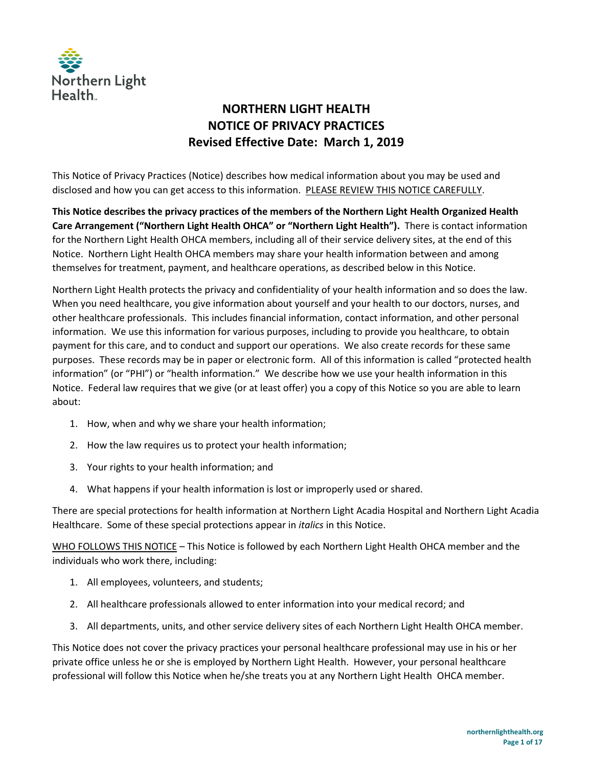

# **NORTHERN LIGHT HEALTH NOTICE OF PRIVACY PRACTICES Revised Effective Date: March 1, 2019**

This Notice of Privacy Practices (Notice) describes how medical information about you may be used and disclosed and how you can get access to this information. PLEASE REVIEW THIS NOTICE CAREFULLY.

**This Notice describes the privacy practices of the members of the Northern Light Health Organized Health Care Arrangement ("Northern Light Health OHCA" or "Northern Light Health").** There is contact information for the Northern Light Health OHCA members, including all of their service delivery sites, at the end of this Notice. Northern Light Health OHCA members may share your health information between and among themselves for treatment, payment, and healthcare operations, as described below in this Notice.

Northern Light Health protects the privacy and confidentiality of your health information and so does the law. When you need healthcare, you give information about yourself and your health to our doctors, nurses, and other healthcare professionals. This includes financial information, contact information, and other personal information. We use this information for various purposes, including to provide you healthcare, to obtain payment for this care, and to conduct and support our operations. We also create records for these same purposes. These records may be in paper or electronic form. All of this information is called "protected health information" (or "PHI") or "health information." We describe how we use your health information in this Notice. Federal law requires that we give (or at least offer) you a copy of this Notice so you are able to learn about:

- 1. How, when and why we share your health information;
- 2. How the law requires us to protect your health information;
- 3. Your rights to your health information; and
- 4. What happens if your health information is lost or improperly used or shared.

There are special protections for health information at Northern Light Acadia Hospital and Northern Light Acadia Healthcare. Some of these special protections appear in *italics* in this Notice.

WHO FOLLOWS THIS NOTICE – This Notice is followed by each Northern Light Health OHCA member and the individuals who work there, including:

- 1. All employees, volunteers, and students;
- 2. All healthcare professionals allowed to enter information into your medical record; and
- 3. All departments, units, and other service delivery sites of each Northern Light Health OHCA member.

This Notice does not cover the privacy practices your personal healthcare professional may use in his or her private office unless he or she is employed by Northern Light Health. However, your personal healthcare professional will follow this Notice when he/she treats you at any Northern Light Health OHCA member.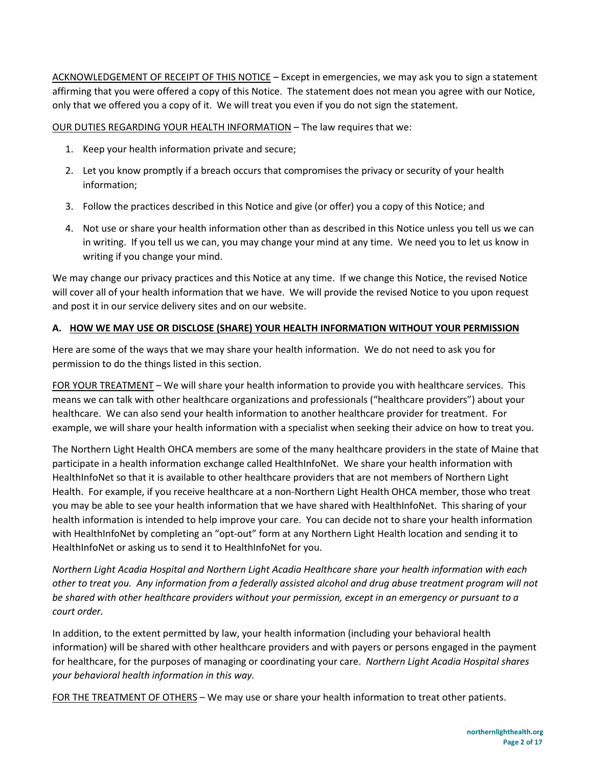ACKNOWLEDGEMENT OF RECEIPT OF THIS NOTICE – Except in emergencies, we may ask you to sign a statement affirming that you were offered a copy of this Notice. The statement does not mean you agree with our Notice, only that we offered you a copy of it. We will treat you even if you do not sign the statement.

OUR DUTIES REGARDING YOUR HEALTH INFORMATION – The law requires that we:

- 1. Keep your health information private and secure;
- 2. Let you know promptly if a breach occurs that compromises the privacy or security of your health information;
- 3. Follow the practices described in this Notice and give (or offer) you a copy of this Notice; and
- 4. Not use or share your health information other than as described in this Notice unless you tell us we can in writing. If you tell us we can, you may change your mind at any time. We need you to let us know in writing if you change your mind.

We may change our privacy practices and this Notice at any time. If we change this Notice, the revised Notice will cover all of your health information that we have. We will provide the revised Notice to you upon request and post it in our service delivery sites and on our website.

#### **A. HOW WE MAY USE OR DISCLOSE (SHARE) YOUR HEALTH INFORMATION WITHOUT YOUR PERMISSION**

Here are some of the ways that we may share your health information. We do not need to ask you for permission to do the things listed in this section.

FOR YOUR TREATMENT – We will share your health information to provide you with healthcare services. This means we can talk with other healthcare organizations and professionals ("healthcare providers") about your healthcare. We can also send your health information to another healthcare provider for treatment. For example, we will share your health information with a specialist when seeking their advice on how to treat you.

The Northern Light Health OHCA members are some of the many healthcare providers in the state of Maine that participate in a health information exchange called HealthInfoNet. We share your health information with HealthInfoNet so that it is available to other healthcare providers that are not members of Northern Light Health. For example, if you receive healthcare at a non-Northern Light Health OHCA member, those who treat you may be able to see your health information that we have shared with HealthInfoNet. This sharing of your health information is intended to help improve your care. You can decide not to share your health information with HealthInfoNet by completing an "opt-out" form at any Northern Light Health location and sending it to HealthInfoNet or asking us to send it to HealthInfoNet for you.

*Northern Light Acadia Hospital and Northern Light Acadia Healthcare share your health information with each other to treat you. Any information from a federally assisted alcohol and drug abuse treatment program will not be shared with other healthcare providers without your permission, except in an emergency or pursuant to a court order.* 

In addition, to the extent permitted by law, your health information (including your behavioral health information) will be shared with other healthcare providers and with payers or persons engaged in the payment for healthcare, for the purposes of managing or coordinating your care. *Northern Light Acadia Hospital shares your behavioral health information in this way.* 

FOR THE TREATMENT OF OTHERS – We may use or share your health information to treat other patients.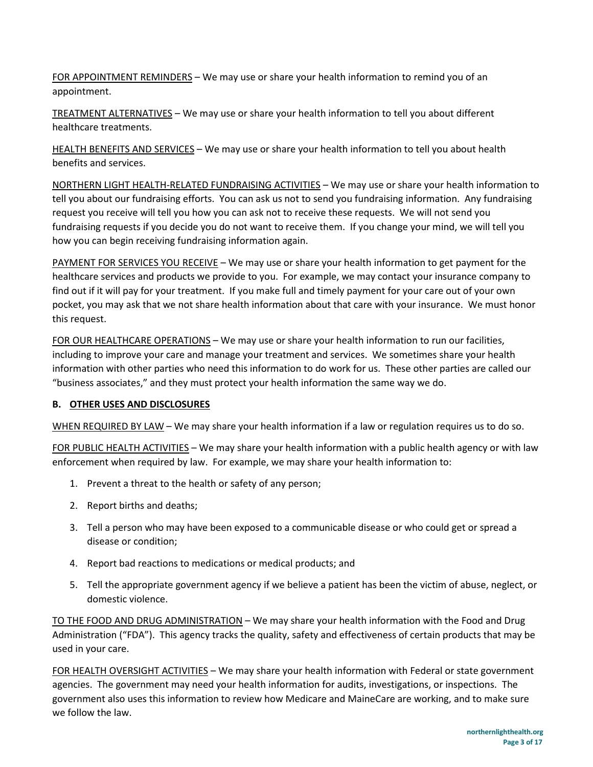FOR APPOINTMENT REMINDERS – We may use or share your health information to remind you of an appointment.

TREATMENT ALTERNATIVES – We may use or share your health information to tell you about different healthcare treatments.

HEALTH BENEFITS AND SERVICES – We may use or share your health information to tell you about health benefits and services.

NORTHERN LIGHT HEALTH-RELATED FUNDRAISING ACTIVITIES – We may use or share your health information to tell you about our fundraising efforts. You can ask us not to send you fundraising information. Any fundraising request you receive will tell you how you can ask not to receive these requests. We will not send you fundraising requests if you decide you do not want to receive them. If you change your mind, we will tell you how you can begin receiving fundraising information again.

PAYMENT FOR SERVICES YOU RECEIVE – We may use or share your health information to get payment for the healthcare services and products we provide to you. For example, we may contact your insurance company to find out if it will pay for your treatment. If you make full and timely payment for your care out of your own pocket, you may ask that we not share health information about that care with your insurance. We must honor this request.

FOR OUR HEALTHCARE OPERATIONS – We may use or share your health information to run our facilities, including to improve your care and manage your treatment and services. We sometimes share your health information with other parties who need this information to do work for us. These other parties are called our "business associates," and they must protect your health information the same way we do.

## **B. OTHER USES AND DISCLOSURES**

WHEN REQUIRED BY LAW – We may share your health information if a law or regulation requires us to do so.

FOR PUBLIC HEALTH ACTIVITIES – We may share your health information with a public health agency or with law enforcement when required by law. For example, we may share your health information to:

- 1. Prevent a threat to the health or safety of any person;
- 2. Report births and deaths;
- 3. Tell a person who may have been exposed to a communicable disease or who could get or spread a disease or condition;
- 4. Report bad reactions to medications or medical products; and
- 5. Tell the appropriate government agency if we believe a patient has been the victim of abuse, neglect, or domestic violence.

TO THE FOOD AND DRUG ADMINISTRATION – We may share your health information with the Food and Drug Administration ("FDA"). This agency tracks the quality, safety and effectiveness of certain products that may be used in your care.

FOR HEALTH OVERSIGHT ACTIVITIES – We may share your health information with Federal or state government agencies. The government may need your health information for audits, investigations, or inspections. The government also uses this information to review how Medicare and MaineCare are working, and to make sure we follow the law.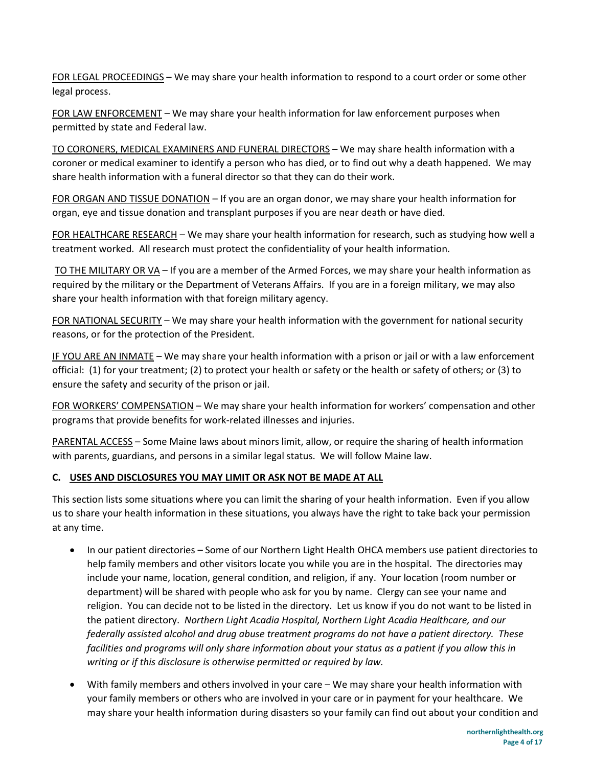FOR LEGAL PROCEEDINGS – We may share your health information to respond to a court order or some other legal process.

FOR LAW ENFORCEMENT – We may share your health information for law enforcement purposes when permitted by state and Federal law.

TO CORONERS, MEDICAL EXAMINERS AND FUNERAL DIRECTORS – We may share health information with a coroner or medical examiner to identify a person who has died, or to find out why a death happened. We may share health information with a funeral director so that they can do their work.

FOR ORGAN AND TISSUE DONATION – If you are an organ donor, we may share your health information for organ, eye and tissue donation and transplant purposes if you are near death or have died.

FOR HEALTHCARE RESEARCH – We may share your health information for research, such as studying how well a treatment worked. All research must protect the confidentiality of your health information.

 TO THE MILITARY OR VA – If you are a member of the Armed Forces, we may share your health information as required by the military or the Department of Veterans Affairs. If you are in a foreign military, we may also share your health information with that foreign military agency.

FOR NATIONAL SECURITY – We may share your health information with the government for national security reasons, or for the protection of the President.

IF YOU ARE AN INMATE – We may share your health information with a prison or jail or with a law enforcement official: (1) for your treatment; (2) to protect your health or safety or the health or safety of others; or (3) to ensure the safety and security of the prison or jail.

FOR WORKERS' COMPENSATION – We may share your health information for workers' compensation and other programs that provide benefits for work-related illnesses and injuries.

PARENTAL ACCESS – Some Maine laws about minors limit, allow, or require the sharing of health information with parents, guardians, and persons in a similar legal status. We will follow Maine law.

## **C. USES AND DISCLOSURES YOU MAY LIMIT OR ASK NOT BE MADE AT ALL**

This section lists some situations where you can limit the sharing of your health information. Even if you allow us to share your health information in these situations, you always have the right to take back your permission at any time.

- In our patient directories Some of our Northern Light Health OHCA members use patient directories to help family members and other visitors locate you while you are in the hospital. The directories may include your name, location, general condition, and religion, if any. Your location (room number or department) will be shared with people who ask for you by name. Clergy can see your name and religion. You can decide not to be listed in the directory. Let us know if you do not want to be listed in the patient directory. *Northern Light Acadia Hospital, Northern Light Acadia Healthcare, and our federally assisted alcohol and drug abuse treatment programs do not have a patient directory. These facilities and programs will only share information about your status as a patient if you allow this in writing or if this disclosure is otherwise permitted or required by law.*
- With family members and others involved in your care We may share your health information with your family members or others who are involved in your care or in payment for your healthcare. We may share your health information during disasters so your family can find out about your condition and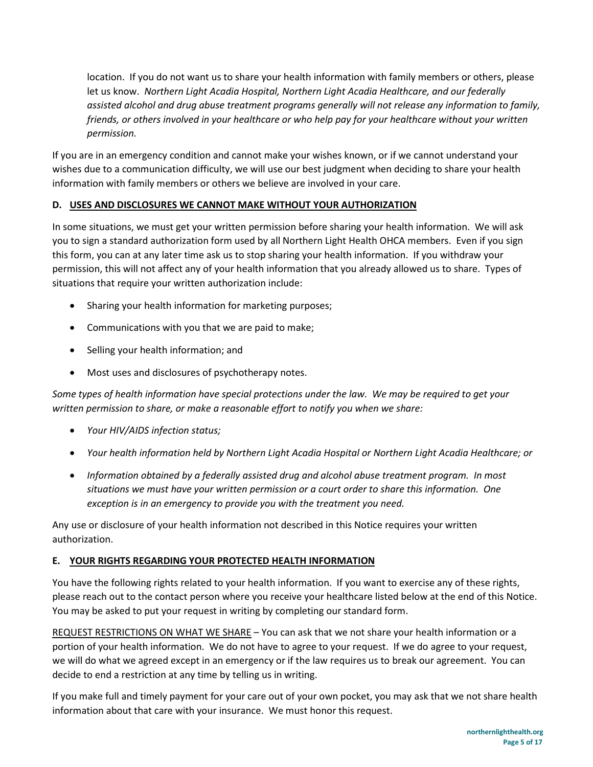location. If you do not want us to share your health information with family members or others, please let us know. *Northern Light Acadia Hospital, Northern Light Acadia Healthcare, and our federally assisted alcohol and drug abuse treatment programs generally will not release any information to family, friends, or others involved in your healthcare or who help pay for your healthcare without your written permission.* 

If you are in an emergency condition and cannot make your wishes known, or if we cannot understand your wishes due to a communication difficulty, we will use our best judgment when deciding to share your health information with family members or others we believe are involved in your care.

## **D. USES AND DISCLOSURES WE CANNOT MAKE WITHOUT YOUR AUTHORIZATION**

In some situations, we must get your written permission before sharing your health information. We will ask you to sign a standard authorization form used by all Northern Light Health OHCA members. Even if you sign this form, you can at any later time ask us to stop sharing your health information. If you withdraw your permission, this will not affect any of your health information that you already allowed us to share. Types of situations that require your written authorization include:

- Sharing your health information for marketing purposes;
- Communications with you that we are paid to make;
- Selling your health information; and
- Most uses and disclosures of psychotherapy notes.

*Some types of health information have special protections under the law. We may be required to get your written permission to share, or make a reasonable effort to notify you when we share:* 

- *Your HIV/AIDS infection status;*
- *Your health information held by Northern Light Acadia Hospital or Northern Light Acadia Healthcare; or*
- *Information obtained by a federally assisted drug and alcohol abuse treatment program. In most situations we must have your written permission or a court order to share this information. One exception is in an emergency to provide you with the treatment you need.*

Any use or disclosure of your health information not described in this Notice requires your written authorization.

#### **E. YOUR RIGHTS REGARDING YOUR PROTECTED HEALTH INFORMATION**

You have the following rights related to your health information. If you want to exercise any of these rights, please reach out to the contact person where you receive your healthcare listed below at the end of this Notice. You may be asked to put your request in writing by completing our standard form.

REQUEST RESTRICTIONS ON WHAT WE SHARE – You can ask that we not share your health information or a portion of your health information. We do not have to agree to your request. If we do agree to your request, we will do what we agreed except in an emergency or if the law requires us to break our agreement. You can decide to end a restriction at any time by telling us in writing.

If you make full and timely payment for your care out of your own pocket, you may ask that we not share health information about that care with your insurance. We must honor this request.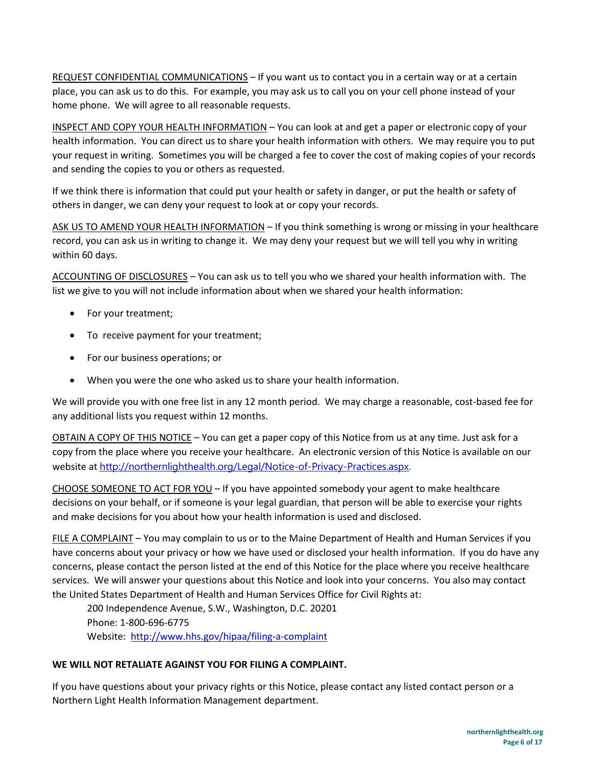REQUEST CONFIDENTIAL COMMUNICATIONS – If you want us to contact you in a certain way or at a certain place, you can ask us to do this. For example, you may ask us to call you on your cell phone instead of your home phone. We will agree to all reasonable requests.

INSPECT AND COPY YOUR HEALTH INFORMATION – You can look at and get a paper or electronic copy of your health information. You can direct us to share your health information with others. We may require you to put your request in writing. Sometimes you will be charged a fee to cover the cost of making copies of your records and sending the copies to you or others as requested.

If we think there is information that could put your health or safety in danger, or put the health or safety of others in danger, we can deny your request to look at or copy your records.

ASK US TO AMEND YOUR HEALTH INFORMATION – If you think something is wrong or missing in your healthcare record, you can ask us in writing to change it. We may deny your request but we will tell you why in writing within 60 days.

ACCOUNTING OF DISCLOSURES – You can ask us to tell you who we shared your health information with. The list we give to you will not include information about when we shared your health information:

- For your treatment;
- To receive payment for your treatment;
- For our business operations; or
- When you were the one who asked us to share your health information.

We will provide you with one free list in any 12 month period. We may charge a reasonable, cost-based fee for any additional lists you request within 12 months.

OBTAIN A COPY OF THIS NOTICE – You can get a paper copy of this Notice from us at any time. Just ask for a copy from the place where you receive your healthcare. An electronic version of this Notice is available on our website at <http://northernlighthealth.org/Legal/Notice-of-Privacy-Practices.aspx>.

CHOOSE SOMEONE TO ACT FOR YOU – If you have appointed somebody your agent to make healthcare decisions on your behalf, or if someone is your legal guardian, that person will be able to exercise your rights and make decisions for you about how your health information is used and disclosed.

FILE A COMPLAINT - You may complain to us or to the Maine Department of Health and Human Services if you have concerns about your privacy or how we have used or disclosed your health information. If you do have any concerns, please contact the person listed at the end of this Notice for the place where you receive healthcare services. We will answer your questions about this Notice and look into your concerns. You also may contact the United States Department of Health and Human Services Office for Civil Rights at:

200 Independence Avenue, S.W., Washington, D.C. 20201 Phone: 1-800-696-6775 Website: <http://www.hhs.gov/hipaa/filing-a-complaint>

#### **WE WILL NOT RETALIATE AGAINST YOU FOR FILING A COMPLAINT.**

If you have questions about your privacy rights or this Notice, please contact any listed contact person or a Northern Light Health Information Management department.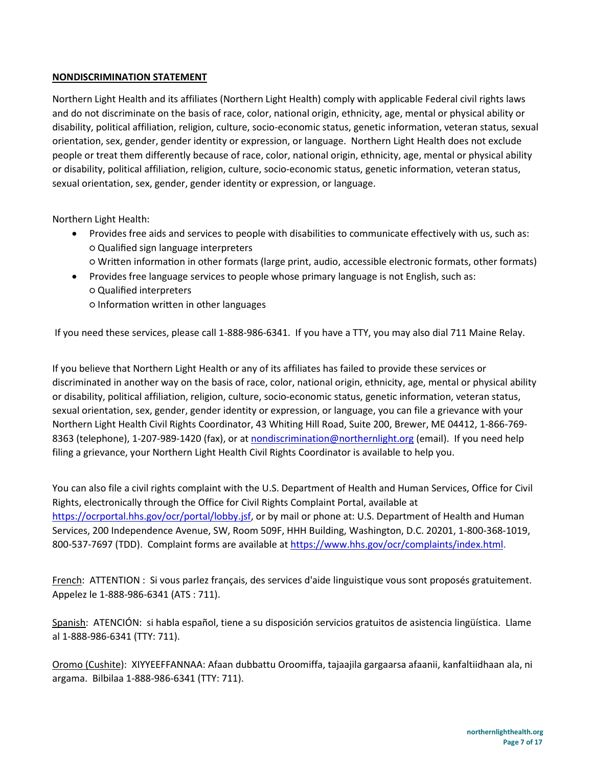#### **NONDISCRIMINATION STATEMENT**

Northern Light Health and its affiliates (Northern Light Health) comply with applicable Federal civil rights laws and do not discriminate on the basis of race, color, national origin, ethnicity, age, mental or physical ability or disability, political affiliation, religion, culture, socio-economic status, genetic information, veteran status, sexual orientation, sex, gender, gender identity or expression, or language. Northern Light Health does not exclude people or treat them differently because of race, color, national origin, ethnicity, age, mental or physical ability or disability, political affiliation, religion, culture, socio-economic status, genetic information, veteran status, sexual orientation, sex, gender, gender identity or expression, or language.

Northern Light Health:

- Provides free aids and services to people with disabilities to communicate effectively with us, such as: ○ Qualified sign language interpreters  $\circ$  Written information in other formats (large print, audio, accessible electronic formats, other formats)
- Provides free language services to people whose primary language is not English, such as: ○ Qualified interpreters  $\circ$  Information written in other languages

If you need these services, please call 1-888-986-6341. If you have a TTY, you may also dial 711 Maine Relay.

If you believe that Northern Light Health or any of its affiliates has failed to provide these services or discriminated in another way on the basis of race, color, national origin, ethnicity, age, mental or physical ability or disability, political affiliation, religion, culture, socio-economic status, genetic information, veteran status, sexual orientation, sex, gender, gender identity or expression, or language, you can file a grievance with your Northern Light Health Civil Rights Coordinator, 43 Whiting Hill Road, Suite 200, Brewer, ME 04412, 1-866-769- 8363 (telephone), 1-207-989-1420 (fax), or at [nondiscrimination@northernlight.org \(](mailto:nondiscrimination@northernlight.org)email). If you need help filing a grievance, your Northern Light Health Civil Rights Coordinator is available to help you.

You can also file a civil rights complaint with the U.S. Department of Health and Human Services, Office for Civil Rights, electronically through the Office for Civil Rights Complaint Portal, available at [https://ocrportal.hhs.gov/ocr/portal/lobby.jsf,](https://ocrportal.hhs.gov/ocr/portal/lobby.jsf) or by mail or phone at: U.S. Department of Health and Human Services, 200 Independence Avenue, SW, Room 509F, HHH Building, Washington, D.C. 20201, 1-800-368-1019, 800-537-7697 (TDD). Complaint forms are available at [https://www.hhs.gov/ocr/complaints/index.html.](https://www.hhs.gov/ocr/complaints/index.html)

French: ATTENTION : Si vous parlez français, des services d'aide linguistique vous sont proposés gratuitement. Appelez le 1-888-986-6341 (ATS : 711).

Spanish: ATENCIÓN: si habla español, tiene a su disposición servicios gratuitos de asistencia lingüística. Llame al 1-888-986-6341 (TTY: 711).

Oromo (Cushite): XIYYEEFFANNAA: Afaan dubbattu Oroomiffa, tajaajila gargaarsa afaanii, kanfaltiidhaan ala, ni argama. Bilbilaa 1-888-986-6341 (TTY: 711).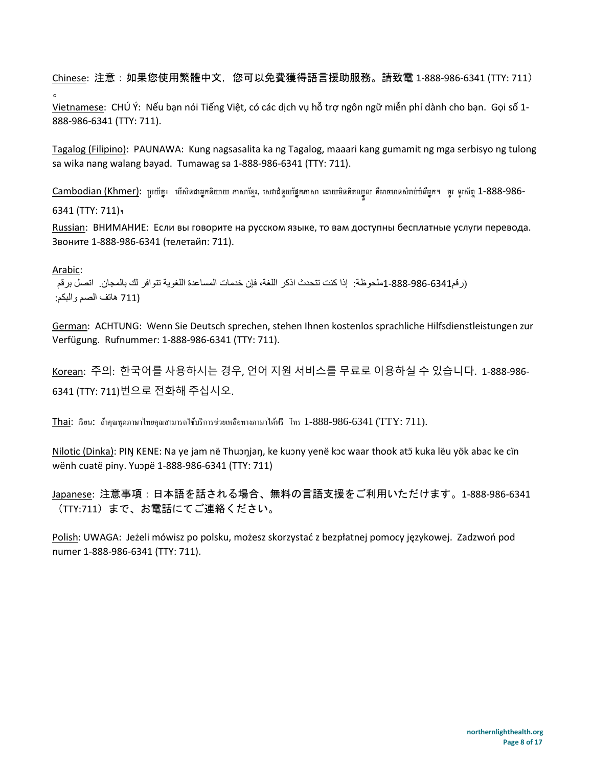Chinese: 注意:如果您使用繁體中文,您可以免費獲得語言援助服務。請致電 1-888-986-6341 (TTY: 711)  $\circ$ 

Vietnamese: CHÚ Ý: Nếu bạn nói Tiếng Việt, có các dịch vụ hỗ trợ ngôn ngữ miễn phí dành cho bạn. Gọi số 1- 888-986-6341 (TTY: 711).

Tagalog (Filipino): PAUNAWA: Kung nagsasalita ka ng Tagalog, maaari kang gumamit ng mga serbisyo ng tulong sa wika nang walang bayad. Tumawag sa 1-888-986-6341 (TTY: 711).

Cambodian (Khmer): ប្រយ័ត្ន៖ េបើសិនជាអ្នកនិយាយ ភាសាខ្មែរ, សេវាជំនួយផ្នែកភាសា ដោយមិនគិតឈ្នួល គឺអាចមានសំរាប់បំរើអ្នក។ ចូរ ទូរស័ព្ទ 1-888-986-

6341 (TTY: 711)។

Russian: ВНИМАНИЕ: Если вы говорите на русском языке, то вам доступны бесплатные услуги перевода. Звоните 1-888-986-6341 (телетайп: 711).

Arabic:

(رقم1-888-986-6341ملحوظة: إذا كنت تتحدث اذكر اللغة، فإن خدمات المساعدة اللغویة تتوافر لك بالمجان. اتصل برقم (711 ھاتف الصم والبكم:

German: ACHTUNG: Wenn Sie Deutsch sprechen, stehen Ihnen kostenlos sprachliche Hilfsdienstleistungen zur Verfügung. Rufnummer: 1-888-986-6341 (TTY: 711).

Korean: 주의: 한국어를 사용하시는 경우, 언어 지원 서비스를 무료로 이용하실 수 있습니다. 1-888-986- 6341 (TTY: 711)번으로 전화해 주십시오.

Thai: เรียน: ถ้าคุณพดภาษาไทยคุณสามารถใช้บริการช่วยเหลือทางภาษาได้ฟรี โทร 1-888-986-6341 (TTY: 711).

Nilotic (Dinka): PIN KENE: Na ye jam në Thuɔŋjaŋ, ke kuɔny yenë kɔc waar thook atɔ̃ kuka lëu yök abac ke cïn wënh cuatë piny. Yuɔpë 1-888-986-6341 (TTY: 711)

Japanese: 注意事項:日本語を話される場合、無料の言語支援をご利用いただけます。1-888-986-6341 (TTY:711)まで、お電話にてご連絡ください。

Polish: UWAGA: Jeżeli mówisz po polsku, możesz skorzystać z bezpłatnej pomocy językowej. Zadzwoń pod numer 1-888-986-6341 (TTY: 711).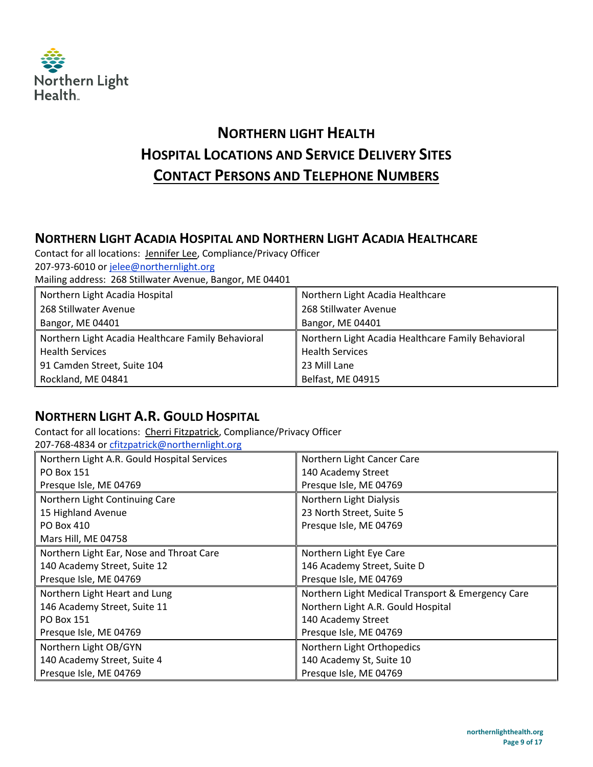

# **NORTHERN LIGHT HEALTH HOSPITAL LOCATIONS AND SERVICE DELIVERY SITES CONTACT PERSONS AND TELEPHONE NUMBERS**

## **NORTHERN LIGHT ACADIA HOSPITAL AND NORTHERN LIGHT ACADIA HEALTHCARE**

Contact for all locations: Jennifer Lee, Compliance/Privacy Officer 207-973-6010 or [jelee@northernlight.org](mailto:apurinton@northernlight.org) Mailing address: 268 Stillwater Avenue, Bangor, ME 04401

| Northern Light Acadia Hospital                     | Northern Light Acadia Healthcare                   |
|----------------------------------------------------|----------------------------------------------------|
| 268 Stillwater Avenue                              | 268 Stillwater Avenue                              |
| Bangor, ME 04401                                   | Bangor, ME 04401                                   |
| Northern Light Acadia Healthcare Family Behavioral | Northern Light Acadia Healthcare Family Behavioral |
| <b>Health Services</b>                             | <b>Health Services</b>                             |
| 91 Camden Street, Suite 104                        | 23 Mill Lane                                       |
| Rockland, ME 04841                                 | Belfast, ME 04915                                  |

## **NORTHERN LIGHT A.R. GOULD HOSPITAL**

Contact for all locations: Cherri Fitzpatrick, Compliance/Privacy Officer 207-768-4834 or [cfitzpatrick@northernlight.org](mailto:cfitzpatrick@northernlight.org)

| <u> 207-768-4834 or cfitzpatrick@northernlight.org</u> |                                                   |
|--------------------------------------------------------|---------------------------------------------------|
| Northern Light A.R. Gould Hospital Services            | Northern Light Cancer Care                        |
| PO Box 151                                             | 140 Academy Street                                |
| Presque Isle, ME 04769                                 | Presque Isle, ME 04769                            |
| Northern Light Continuing Care                         | Northern Light Dialysis                           |
| 15 Highland Avenue                                     | 23 North Street, Suite 5                          |
| PO Box 410                                             | Presque Isle, ME 04769                            |
| Mars Hill, ME 04758                                    |                                                   |
| Northern Light Ear, Nose and Throat Care               | Northern Light Eye Care                           |
| 140 Academy Street, Suite 12                           | 146 Academy Street, Suite D                       |
| Presque Isle, ME 04769                                 | Presque Isle, ME 04769                            |
| Northern Light Heart and Lung                          | Northern Light Medical Transport & Emergency Care |
| 146 Academy Street, Suite 11                           | Northern Light A.R. Gould Hospital                |
| PO Box 151                                             | 140 Academy Street                                |
| Presque Isle, ME 04769                                 | Presque Isle, ME 04769                            |
| Northern Light OB/GYN                                  | Northern Light Orthopedics                        |
| 140 Academy Street, Suite 4                            | 140 Academy St, Suite 10                          |
| Presque Isle, ME 04769                                 | Presque Isle, ME 04769                            |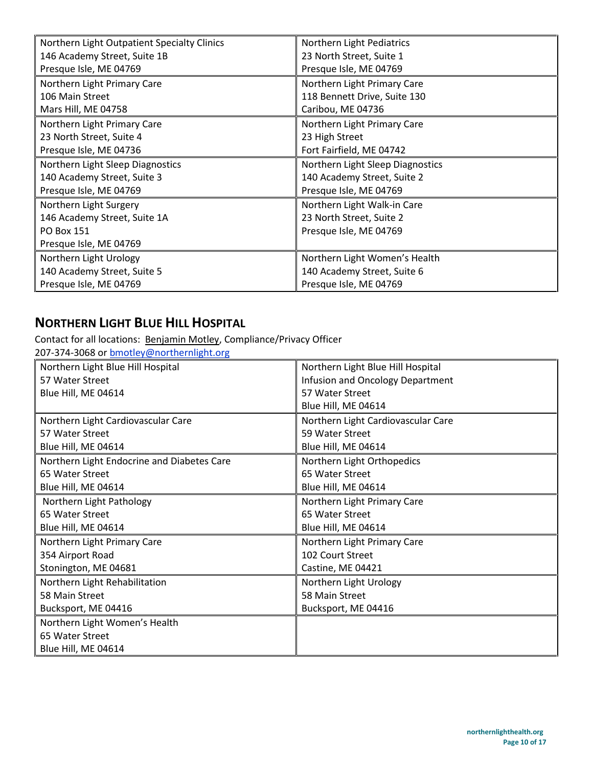| Northern Light Outpatient Specialty Clinics | Northern Light Pediatrics        |
|---------------------------------------------|----------------------------------|
| 146 Academy Street, Suite 1B                | 23 North Street, Suite 1         |
| Presque Isle, ME 04769                      | Presque Isle, ME 04769           |
| Northern Light Primary Care                 | Northern Light Primary Care      |
| 106 Main Street                             | 118 Bennett Drive, Suite 130     |
| Mars Hill, ME 04758                         | Caribou, ME 04736                |
| Northern Light Primary Care                 | Northern Light Primary Care      |
| 23 North Street, Suite 4                    | 23 High Street                   |
| Presque Isle, ME 04736                      | Fort Fairfield, ME 04742         |
| Northern Light Sleep Diagnostics            | Northern Light Sleep Diagnostics |
| 140 Academy Street, Suite 3                 | 140 Academy Street, Suite 2      |
| Presque Isle, ME 04769                      | Presque Isle, ME 04769           |
| Northern Light Surgery                      | Northern Light Walk-in Care      |
| 146 Academy Street, Suite 1A                | 23 North Street, Suite 2         |
| PO Box 151                                  | Presque Isle, ME 04769           |
| Presque Isle, ME 04769                      |                                  |
| Northern Light Urology                      | Northern Light Women's Health    |
| 140 Academy Street, Suite 5                 | 140 Academy Street, Suite 6      |
| Presque Isle, ME 04769                      | Presque Isle, ME 04769           |

# **NORTHERN LIGHT BLUE HILL HOSPITAL**

Contact for all locations: Benjamin Motley, Compliance/Privacy Officer

| 207-374-3068 or bmotley@northernlight.org  |                                    |  |
|--------------------------------------------|------------------------------------|--|
| Northern Light Blue Hill Hospital          | Northern Light Blue Hill Hospital  |  |
| 57 Water Street                            | Infusion and Oncology Department   |  |
| Blue Hill, ME 04614                        | 57 Water Street                    |  |
|                                            | Blue Hill, ME 04614                |  |
| Northern Light Cardiovascular Care         | Northern Light Cardiovascular Care |  |
| 57 Water Street                            | 59 Water Street                    |  |
| Blue Hill, ME 04614                        | Blue Hill, ME 04614                |  |
| Northern Light Endocrine and Diabetes Care | Northern Light Orthopedics         |  |
| 65 Water Street                            | 65 Water Street                    |  |
| Blue Hill, ME 04614                        | Blue Hill, ME 04614                |  |
| Northern Light Pathology                   | Northern Light Primary Care        |  |
| 65 Water Street                            | 65 Water Street                    |  |
| Blue Hill, ME 04614                        | Blue Hill, ME 04614                |  |
| Northern Light Primary Care                | Northern Light Primary Care        |  |
| 354 Airport Road                           | 102 Court Street                   |  |
| Stonington, ME 04681                       | Castine, ME 04421                  |  |
| Northern Light Rehabilitation              | Northern Light Urology             |  |
| 58 Main Street                             | 58 Main Street                     |  |
| Bucksport, ME 04416                        | Bucksport, ME 04416                |  |
| Northern Light Women's Health              |                                    |  |
| 65 Water Street                            |                                    |  |
| Blue Hill, ME 04614                        |                                    |  |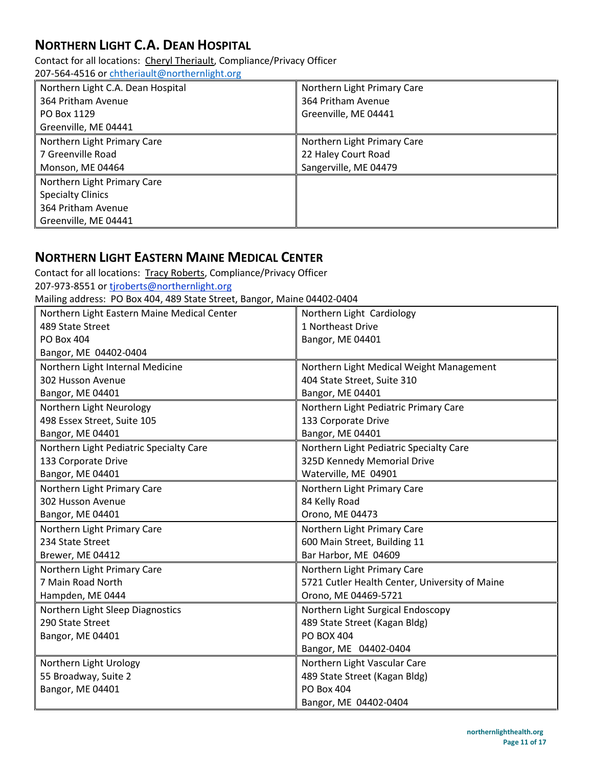# **NORTHERN LIGHT C.A. DEAN HOSPITAL**

Contact for all locations: Cheryl Theriault, Compliance/Privacy Officer 207-564-4516 or [chtheriault@northernlight.org](mailto:chtheriault@northernlight.org) 

| Northern Light C.A. Dean Hospital | Northern Light Primary Care |
|-----------------------------------|-----------------------------|
| 364 Pritham Avenue                | 364 Pritham Avenue          |
| PO Box 1129                       | Greenville, ME 04441        |
| Greenville, ME 04441              |                             |
| Northern Light Primary Care       | Northern Light Primary Care |
| 7 Greenville Road                 | 22 Haley Court Road         |
| Monson, ME 04464                  | Sangerville, ME 04479       |
| Northern Light Primary Care       |                             |
| <b>Specialty Clinics</b>          |                             |
| 364 Pritham Avenue                |                             |
| Greenville, ME 04441              |                             |

## **NORTHERN LIGHT EASTERN MAINE MEDICAL CENTER**

Contact for all locations: Tracy Roberts, Compliance/Privacy Officer 207-973-8551 or tjroberts@northernlight.org

Mailing address: PO Box 404, 489 State Street, Bangor, Maine 04402-0404

| Northern Light Eastern Maine Medical Center | Northern Light Cardiology                      |
|---------------------------------------------|------------------------------------------------|
| 489 State Street                            | 1 Northeast Drive                              |
| PO Box 404                                  | Bangor, ME 04401                               |
| Bangor, ME 04402-0404                       |                                                |
| Northern Light Internal Medicine            | Northern Light Medical Weight Management       |
| 302 Husson Avenue                           | 404 State Street, Suite 310                    |
| Bangor, ME 04401                            | Bangor, ME 04401                               |
| Northern Light Neurology                    | Northern Light Pediatric Primary Care          |
| 498 Essex Street, Suite 105                 | 133 Corporate Drive                            |
| Bangor, ME 04401                            | Bangor, ME 04401                               |
| Northern Light Pediatric Specialty Care     | Northern Light Pediatric Specialty Care        |
| 133 Corporate Drive                         | 325D Kennedy Memorial Drive                    |
| Bangor, ME 04401                            | Waterville, ME 04901                           |
| Northern Light Primary Care                 | Northern Light Primary Care                    |
| 302 Husson Avenue                           | 84 Kelly Road                                  |
| Bangor, ME 04401                            | Orono, ME 04473                                |
| Northern Light Primary Care                 | Northern Light Primary Care                    |
| 234 State Street                            | 600 Main Street, Building 11                   |
| Brewer, ME 04412                            | Bar Harbor, ME 04609                           |
| Northern Light Primary Care                 | Northern Light Primary Care                    |
| 7 Main Road North                           | 5721 Cutler Health Center, University of Maine |
| Hampden, ME 0444                            | Orono, ME 04469-5721                           |
| Northern Light Sleep Diagnostics            | Northern Light Surgical Endoscopy              |
| 290 State Street                            | 489 State Street (Kagan Bldg)                  |
| Bangor, ME 04401                            | <b>PO BOX 404</b>                              |
|                                             | Bangor, ME 04402-0404                          |
| Northern Light Urology                      | Northern Light Vascular Care                   |
| 55 Broadway, Suite 2                        | 489 State Street (Kagan Bldg)                  |
| Bangor, ME 04401                            | <b>PO Box 404</b>                              |
|                                             | Bangor, ME 04402-0404                          |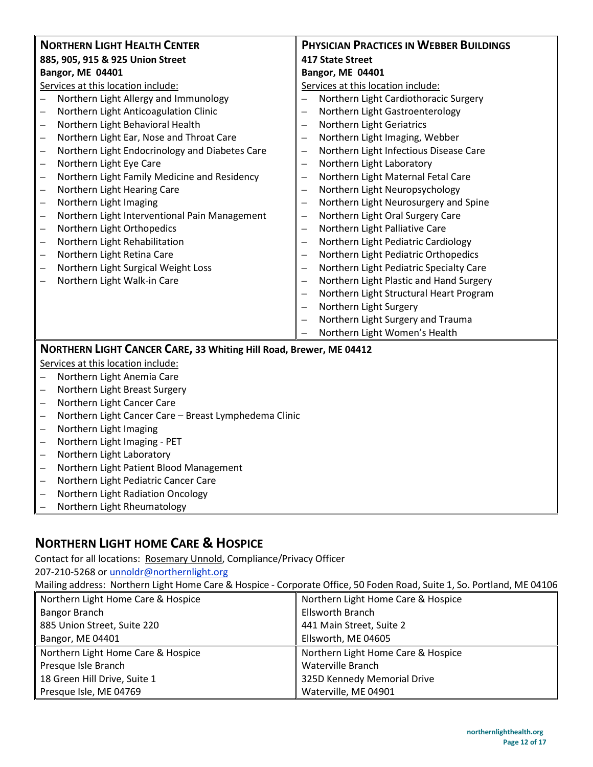| <b>NORTHERN LIGHT HEALTH CENTER</b>                                        | <b>PHYSICIAN PRACTICES IN WEBBER BUILDINGS</b>                      |
|----------------------------------------------------------------------------|---------------------------------------------------------------------|
| 885, 905, 915 & 925 Union Street                                           | <b>417 State Street</b>                                             |
| <b>Bangor, ME 04401</b>                                                    | Bangor, ME 04401                                                    |
| Services at this location include:                                         | Services at this location include:                                  |
| Northern Light Allergy and Immunology                                      | Northern Light Cardiothoracic Surgery                               |
| Northern Light Anticoagulation Clinic<br>$\equiv$                          | Northern Light Gastroenterology<br>$\overline{\phantom{0}}$         |
| Northern Light Behavioral Health<br>$\overline{\phantom{0}}$               | Northern Light Geriatrics<br>-                                      |
| Northern Light Ear, Nose and Throat Care                                   | Northern Light Imaging, Webber<br>$\overline{\phantom{0}}$          |
| Northern Light Endocrinology and Diabetes Care<br>$\qquad \qquad -$        | Northern Light Infectious Disease Care<br>$\overline{\phantom{0}}$  |
| Northern Light Eye Care<br>$\qquad \qquad -$                               | Northern Light Laboratory<br>$\overline{\phantom{0}}$               |
| Northern Light Family Medicine and Residency<br>$\qquad \qquad -$          | Northern Light Maternal Fetal Care<br>—                             |
| Northern Light Hearing Care<br>$\qquad \qquad -$                           | Northern Light Neuropsychology<br>÷                                 |
| Northern Light Imaging<br>$\qquad \qquad -$                                | Northern Light Neurosurgery and Spine<br>$\overline{\phantom{0}}$   |
| Northern Light Interventional Pain Management<br>$\qquad \qquad -$         | Northern Light Oral Surgery Care<br>$\overline{\phantom{0}}$        |
| Northern Light Orthopedics<br>$\qquad \qquad -$                            | Northern Light Palliative Care<br>$\overline{\phantom{0}}$          |
| Northern Light Rehabilitation<br>$\overline{\phantom{0}}$                  | Northern Light Pediatric Cardiology<br>$\overline{\phantom{0}}$     |
| Northern Light Retina Care<br>$\overline{\phantom{0}}$                     | Northern Light Pediatric Orthopedics<br>÷                           |
| Northern Light Surgical Weight Loss<br>$\overline{\phantom{0}}$            | Northern Light Pediatric Specialty Care<br>$\overline{\phantom{0}}$ |
| Northern Light Walk-in Care                                                | Northern Light Plastic and Hand Surgery                             |
|                                                                            | Northern Light Structural Heart Program                             |
|                                                                            | Northern Light Surgery<br>$\equiv$                                  |
|                                                                            | Northern Light Surgery and Trauma                                   |
|                                                                            | Northern Light Women's Health                                       |
| NORTHERN LIGHT CANCER CARE, 33 Whiting Hill Road, Brewer, ME 04412         |                                                                     |
| Services at this location include:                                         |                                                                     |
| Northern Light Anemia Care<br>$\overline{\phantom{0}}$                     |                                                                     |
| Northern Light Breast Surgery<br>$\overline{\phantom{0}}$                  |                                                                     |
| Northern Light Cancer Care<br>$\qquad \qquad -$                            |                                                                     |
| Northern Light Cancer Care - Breast Lymphedema Clinic<br>$\qquad \qquad -$ |                                                                     |
| Northern Light Imaging<br>$\qquad \qquad -$                                |                                                                     |
| Northern Light Imaging - PET<br>$\overline{\phantom{m}}$                   |                                                                     |
| Northern Light Laboratory<br>$\overline{\phantom{m}}$                      |                                                                     |
| Northern Light Patient Blood Management<br>$\qquad \qquad -$               |                                                                     |
| Northern Light Pediatric Cancer Care<br>$\qquad \qquad -$                  |                                                                     |
| Northern Light Radiation Oncology<br>$\overline{\phantom{0}}$              |                                                                     |
| Northern Light Rheumatology<br>$\overline{\phantom{0}}$                    |                                                                     |

# **NORTHERN LIGHT HOME CARE & HOSPICE**

Contact for all locations: Rosemary Unnold, Compliance/Privacy Officer

207-210-5268 or [unnoldr@northernlight.org](mailto:wrightl@northernlight.org) 

Mailing address: Northern Light Home Care & Hospice - Corporate Office, 50 Foden Road, Suite 1, So. Portland, ME 04106

| Northern Light Home Care & Hospice | Northern Light Home Care & Hospice |
|------------------------------------|------------------------------------|
| <b>Bangor Branch</b>               | <b>Ellsworth Branch</b>            |
| 885 Union Street, Suite 220        | 441 Main Street, Suite 2           |
| Bangor, ME 04401                   | Ellsworth, ME 04605                |
| Northern Light Home Care & Hospice | Northern Light Home Care & Hospice |
| Presque Isle Branch                | Waterville Branch                  |
|                                    |                                    |
| 18 Green Hill Drive, Suite 1       | 325D Kennedy Memorial Drive        |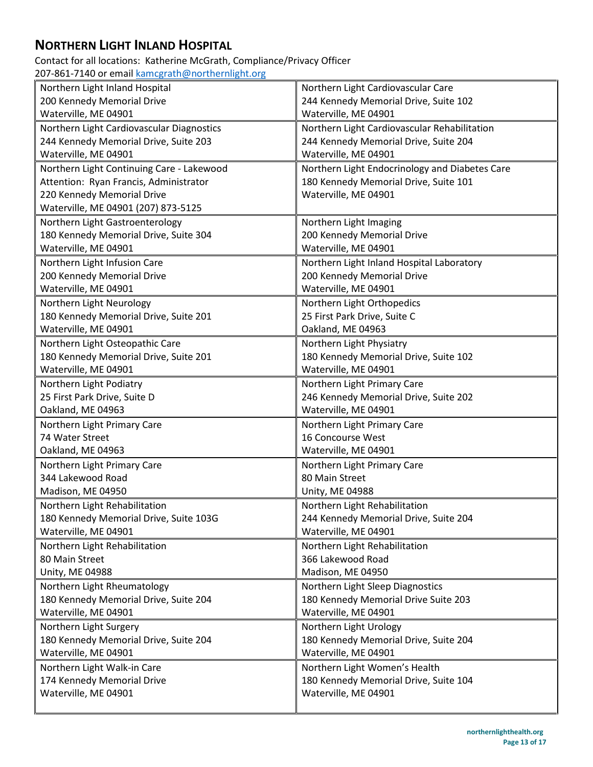# **NORTHERN LIGHT INLAND HOSPITAL**

Contact for all locations: Katherine McGrath, Compliance/Privacy Officer 207-861-7140 or email [kamcgrath@northernlight.org](mailto:kamcgrath@northernlight.org)

| Northern Light Inland Hospital            | Northern Light Cardiovascular Care             |
|-------------------------------------------|------------------------------------------------|
| 200 Kennedy Memorial Drive                | 244 Kennedy Memorial Drive, Suite 102          |
| Waterville, ME 04901                      | Waterville, ME 04901                           |
| Northern Light Cardiovascular Diagnostics | Northern Light Cardiovascular Rehabilitation   |
| 244 Kennedy Memorial Drive, Suite 203     | 244 Kennedy Memorial Drive, Suite 204          |
| Waterville, ME 04901                      | Waterville, ME 04901                           |
| Northern Light Continuing Care - Lakewood | Northern Light Endocrinology and Diabetes Care |
| Attention: Ryan Francis, Administrator    | 180 Kennedy Memorial Drive, Suite 101          |
| 220 Kennedy Memorial Drive                | Waterville, ME 04901                           |
| Waterville, ME 04901 (207) 873-5125       |                                                |
| Northern Light Gastroenterology           | Northern Light Imaging                         |
| 180 Kennedy Memorial Drive, Suite 304     | 200 Kennedy Memorial Drive                     |
| Waterville, ME 04901                      | Waterville, ME 04901                           |
| Northern Light Infusion Care              | Northern Light Inland Hospital Laboratory      |
| 200 Kennedy Memorial Drive                | 200 Kennedy Memorial Drive                     |
| Waterville, ME 04901                      | Waterville, ME 04901                           |
| Northern Light Neurology                  | Northern Light Orthopedics                     |
| 180 Kennedy Memorial Drive, Suite 201     | 25 First Park Drive, Suite C                   |
| Waterville, ME 04901                      | Oakland, ME 04963                              |
| Northern Light Osteopathic Care           | Northern Light Physiatry                       |
| 180 Kennedy Memorial Drive, Suite 201     | 180 Kennedy Memorial Drive, Suite 102          |
| Waterville, ME 04901                      | Waterville, ME 04901                           |
| Northern Light Podiatry                   | Northern Light Primary Care                    |
| 25 First Park Drive, Suite D              | 246 Kennedy Memorial Drive, Suite 202          |
| Oakland, ME 04963                         | Waterville, ME 04901                           |
| Northern Light Primary Care               | Northern Light Primary Care                    |
| 74 Water Street                           | 16 Concourse West                              |
| Oakland, ME 04963                         | Waterville, ME 04901                           |
| Northern Light Primary Care               | Northern Light Primary Care                    |
| 344 Lakewood Road                         | 80 Main Street                                 |
| Madison, ME 04950                         | <b>Unity, ME 04988</b>                         |
| Northern Light Rehabilitation             | Northern Light Rehabilitation                  |
| 180 Kennedy Memorial Drive, Suite 103G    | 244 Kennedy Memorial Drive, Suite 204          |
| Waterville, ME 04901                      | Waterville, ME 04901                           |
| Northern Light Rehabilitation             | Northern Light Rehabilitation                  |
| 80 Main Street                            | 366 Lakewood Road                              |
| Unity, ME 04988                           | Madison, ME 04950                              |
| Northern Light Rheumatology               | Northern Light Sleep Diagnostics               |
| 180 Kennedy Memorial Drive, Suite 204     | 180 Kennedy Memorial Drive Suite 203           |
| Waterville, ME 04901                      | Waterville, ME 04901                           |
| Northern Light Surgery                    | Northern Light Urology                         |
| 180 Kennedy Memorial Drive, Suite 204     | 180 Kennedy Memorial Drive, Suite 204          |
| Waterville, ME 04901                      | Waterville, ME 04901                           |
| Northern Light Walk-in Care               | Northern Light Women's Health                  |
| 174 Kennedy Memorial Drive                | 180 Kennedy Memorial Drive, Suite 104          |
| Waterville, ME 04901                      | Waterville, ME 04901                           |
|                                           |                                                |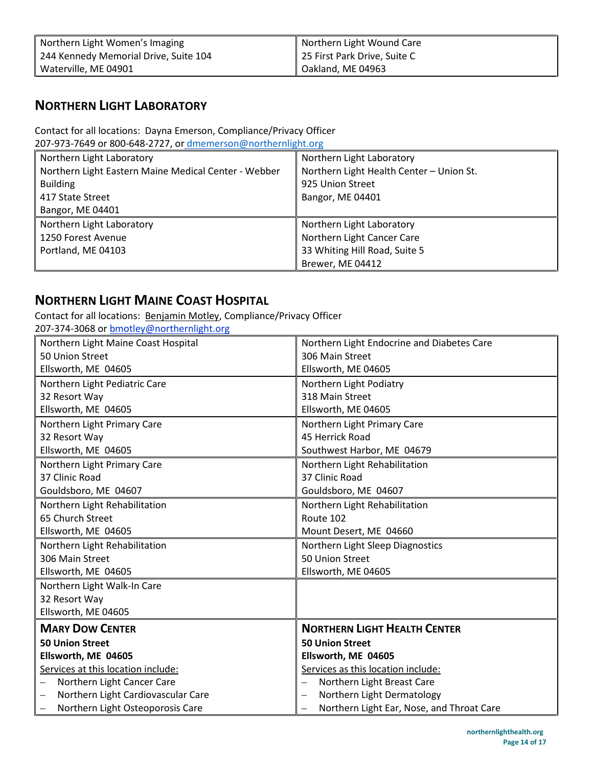| Northern Light Women's Imaging        | Northern Light Wound Care    |
|---------------------------------------|------------------------------|
| 244 Kennedy Memorial Drive, Suite 104 | 25 First Park Drive, Suite C |
| Waterville, ME 04901                  | Oakland, ME 04963            |

## **NORTHERN LIGHT LABORATORY**

Contact for all locations: Dayna Emerson, Compliance/Privacy Officer

207-973-7649 or 800-648-2727, or [dmemerson@northernlight.org](mailto:dmemerson@northernlight.org)

| Northern Light Laboratory                            | Northern Light Laboratory                |
|------------------------------------------------------|------------------------------------------|
| Northern Light Eastern Maine Medical Center - Webber | Northern Light Health Center - Union St. |
| <b>Building</b>                                      | 925 Union Street                         |
| 417 State Street                                     | Bangor, ME 04401                         |
| Bangor, ME 04401                                     |                                          |
| Northern Light Laboratory                            | Northern Light Laboratory                |
| 1250 Forest Avenue                                   | Northern Light Cancer Care               |
| Portland, ME 04103                                   | 33 Whiting Hill Road, Suite 5            |
|                                                      | Brewer, ME 04412                         |

# **NORTHERN LIGHT MAINE COAST HOSPITAL**

Contact for all locations: Benjamin Motley, Compliance/Privacy Officer 207-374-3068 or bmotley@northernlight.org

| Northern Light Maine Coast Hospital | Northern Light Endocrine and Diabetes Care             |
|-------------------------------------|--------------------------------------------------------|
| 50 Union Street                     | 306 Main Street                                        |
| Ellsworth, ME 04605                 | Ellsworth, ME 04605                                    |
| Northern Light Pediatric Care       | Northern Light Podiatry                                |
| 32 Resort Way                       | 318 Main Street                                        |
| Ellsworth, ME 04605                 | Ellsworth, ME 04605                                    |
| Northern Light Primary Care         | Northern Light Primary Care                            |
| 32 Resort Way                       | 45 Herrick Road                                        |
| Ellsworth, ME 04605                 | Southwest Harbor, ME 04679                             |
| Northern Light Primary Care         | Northern Light Rehabilitation                          |
| 37 Clinic Road                      | 37 Clinic Road                                         |
| Gouldsboro, ME 04607                | Gouldsboro, ME 04607                                   |
| Northern Light Rehabilitation       | Northern Light Rehabilitation                          |
| 65 Church Street                    | Route 102                                              |
| Ellsworth, ME 04605                 | Mount Desert, ME 04660                                 |
| Northern Light Rehabilitation       | Northern Light Sleep Diagnostics                       |
| 306 Main Street                     | 50 Union Street                                        |
| Ellsworth, ME 04605                 | Ellsworth, ME 04605                                    |
| Northern Light Walk-In Care         |                                                        |
| 32 Resort Way                       |                                                        |
| Ellsworth, ME 04605                 |                                                        |
| <b>MARY DOW CENTER</b>              | <b>NORTHERN LIGHT HEALTH CENTER</b>                    |
| <b>50 Union Street</b>              | <b>50 Union Street</b>                                 |
| Ellsworth, ME 04605                 | Ellsworth, ME 04605                                    |
| Services at this location include:  | Services as this location include:                     |
| Northern Light Cancer Care          | Northern Light Breast Care<br>$\overline{\phantom{0}}$ |
| Northern Light Cardiovascular Care  | Northern Light Dermatology                             |
| Northern Light Osteoporosis Care    | Northern Light Ear, Nose, and Throat Care              |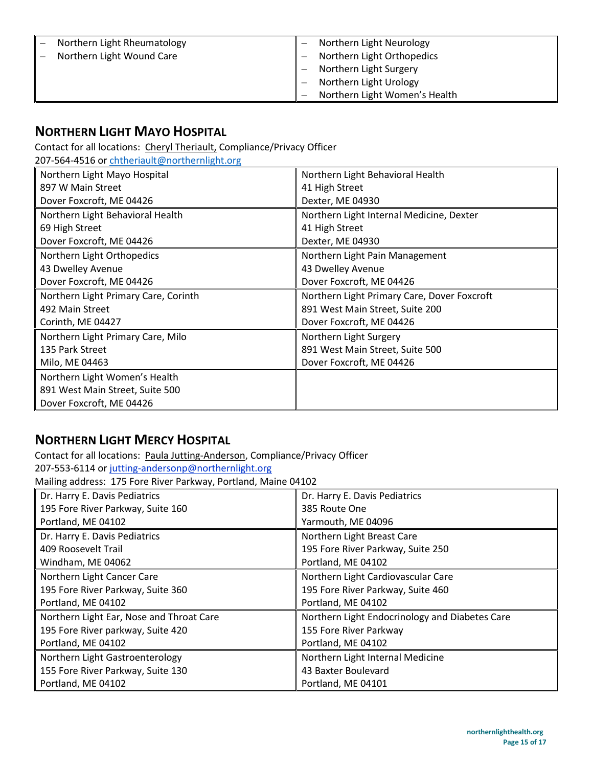| Northern Light Rheumatology | Northern Light Neurology      |
|-----------------------------|-------------------------------|
| Northern Light Wound Care   | Northern Light Orthopedics    |
|                             | Northern Light Surgery        |
|                             | Northern Light Urology        |
|                             | Northern Light Women's Health |

# **NORTHERN LIGHT MAYO HOSPITAL**

Contact for all locations: Cheryl Theriault, Compliance/Privacy Officer

207-564-4516 or [chtheriault@northernlight.org](mailto:chtheriault@northernlight.org) 

| Northern Light Mayo Hospital         | Northern Light Behavioral Health            |
|--------------------------------------|---------------------------------------------|
| 897 W Main Street                    | 41 High Street                              |
| Dover Foxcroft, ME 04426             | Dexter, ME 04930                            |
| Northern Light Behavioral Health     | Northern Light Internal Medicine, Dexter    |
| 69 High Street                       | 41 High Street                              |
| Dover Foxcroft, ME 04426             | Dexter, ME 04930                            |
| Northern Light Orthopedics           | Northern Light Pain Management              |
| 43 Dwelley Avenue                    | 43 Dwelley Avenue                           |
| Dover Foxcroft, ME 04426             | Dover Foxcroft, ME 04426                    |
| Northern Light Primary Care, Corinth | Northern Light Primary Care, Dover Foxcroft |
| 492 Main Street                      | 891 West Main Street, Suite 200             |
| Corinth, ME 04427                    | Dover Foxcroft, ME 04426                    |
| Northern Light Primary Care, Milo    | Northern Light Surgery                      |
| 135 Park Street                      | 891 West Main Street, Suite 500             |
| Milo, ME 04463                       | Dover Foxcroft, ME 04426                    |
| Northern Light Women's Health        |                                             |
| 891 West Main Street, Suite 500      |                                             |
| Dover Foxcroft, ME 04426             |                                             |

# **NORTHERN LIGHT MERCY HOSPITAL**

Contact for all locations: Paula Jutting-Anderson, Compliance/Privacy Officer

207-553-6114 or [jutting-andersonp@northernlight.org](mailto:jutting-anderson@mercyme.com) 

Mailing address: 175 Fore River Parkway, Portland, Maine 04102

| Dr. Harry E. Davis Pediatrics            | Dr. Harry E. Davis Pediatrics                  |
|------------------------------------------|------------------------------------------------|
| 195 Fore River Parkway, Suite 160        | 385 Route One                                  |
| Portland, ME 04102                       | Yarmouth, ME 04096                             |
| Dr. Harry E. Davis Pediatrics            | Northern Light Breast Care                     |
| 409 Roosevelt Trail                      | 195 Fore River Parkway, Suite 250              |
| Windham, ME 04062                        | Portland, ME 04102                             |
| Northern Light Cancer Care               | Northern Light Cardiovascular Care             |
| 195 Fore River Parkway, Suite 360        | 195 Fore River Parkway, Suite 460              |
| Portland, ME 04102                       | Portland, ME 04102                             |
| Northern Light Ear, Nose and Throat Care | Northern Light Endocrinology and Diabetes Care |
| 195 Fore River parkway, Suite 420        | 155 Fore River Parkway                         |
| Portland, ME 04102                       | Portland, ME 04102                             |
| Northern Light Gastroenterology          | Northern Light Internal Medicine               |
| 155 Fore River Parkway, Suite 130        | 43 Baxter Boulevard                            |
| Portland, ME 04102                       | Portland, ME 04101                             |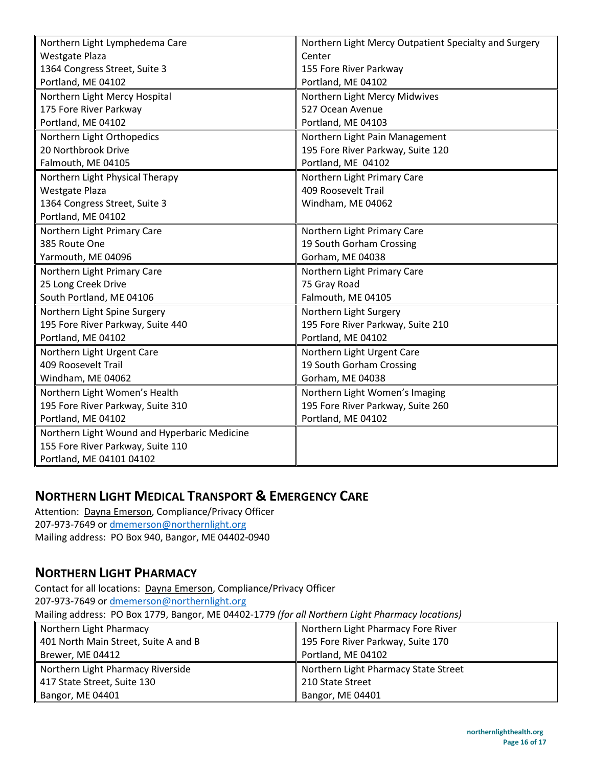| Northern Light Lymphedema Care               | Northern Light Mercy Outpatient Specialty and Surgery |
|----------------------------------------------|-------------------------------------------------------|
| <b>Westgate Plaza</b>                        | Center                                                |
| 1364 Congress Street, Suite 3                | 155 Fore River Parkway                                |
| Portland, ME 04102                           | Portland, ME 04102                                    |
| Northern Light Mercy Hospital                | Northern Light Mercy Midwives                         |
| 175 Fore River Parkway                       | 527 Ocean Avenue                                      |
| Portland, ME 04102                           | Portland, ME 04103                                    |
| Northern Light Orthopedics                   | Northern Light Pain Management                        |
| 20 Northbrook Drive                          | 195 Fore River Parkway, Suite 120                     |
| Falmouth, ME 04105                           | Portland, ME 04102                                    |
| Northern Light Physical Therapy              | Northern Light Primary Care                           |
| <b>Westgate Plaza</b>                        | 409 Roosevelt Trail                                   |
| 1364 Congress Street, Suite 3                | Windham, ME 04062                                     |
| Portland, ME 04102                           |                                                       |
| Northern Light Primary Care                  | Northern Light Primary Care                           |
| 385 Route One                                | 19 South Gorham Crossing                              |
| Yarmouth, ME 04096                           | Gorham, ME 04038                                      |
| Northern Light Primary Care                  | Northern Light Primary Care                           |
| 25 Long Creek Drive                          | 75 Gray Road                                          |
| South Portland, ME 04106                     | Falmouth, ME 04105                                    |
| Northern Light Spine Surgery                 | Northern Light Surgery                                |
| 195 Fore River Parkway, Suite 440            | 195 Fore River Parkway, Suite 210                     |
| Portland, ME 04102                           | Portland, ME 04102                                    |
| Northern Light Urgent Care                   | Northern Light Urgent Care                            |
| 409 Roosevelt Trail                          | 19 South Gorham Crossing                              |
| Windham, ME 04062                            | Gorham, ME 04038                                      |
| Northern Light Women's Health                | Northern Light Women's Imaging                        |
| 195 Fore River Parkway, Suite 310            | 195 Fore River Parkway, Suite 260                     |
| Portland, ME 04102                           | Portland, ME 04102                                    |
| Northern Light Wound and Hyperbaric Medicine |                                                       |
| 155 Fore River Parkway, Suite 110            |                                                       |
| Portland, ME 04101 04102                     |                                                       |

# **NORTHERN LIGHT MEDICAL TRANSPORT & EMERGENCY CARE**

Attention: Dayna Emerson, Compliance/Privacy Officer 207-973-7649 or [dmemerson@northernlight.org](mailto:dmemerson@northernlight.org) Mailing address: PO Box 940, Bangor, ME 04402-0940

## **NORTHERN LIGHT PHARMACY**

Contact for all locations: Dayna Emerson, Compliance/Privacy Officer 207-973-7649 or dmemerson@northernlight.org

Mailing address: PO Box 1779, Bangor, ME 04402-1779 *(for all Northern Light Pharmacy locations)*

| Northern Light Pharmacy              | Northern Light Pharmacy Fore River   |
|--------------------------------------|--------------------------------------|
| 401 North Main Street, Suite A and B | 195 Fore River Parkway, Suite 170    |
| Brewer, ME 04412                     | Portland, ME 04102                   |
| Northern Light Pharmacy Riverside    | Northern Light Pharmacy State Street |
|                                      |                                      |
| 417 State Street, Suite 130          | 210 State Street                     |